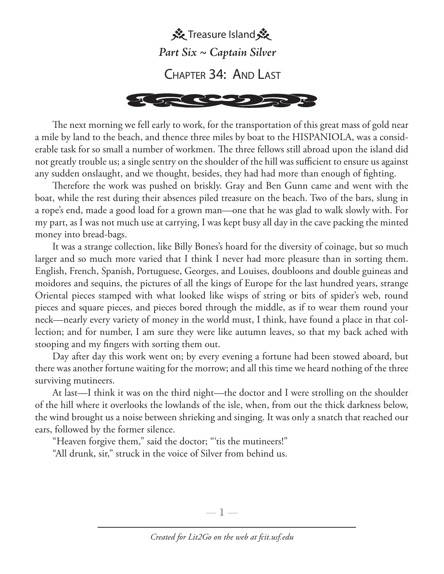

The next morning we fell early to work, for the transportation of this great mass of gold near a mile by land to the beach, and thence three miles by boat to the HISPANIOLA, was a considerable task for so small a number of workmen. The three fellows still abroad upon the island did not greatly trouble us; a single sentry on the shoulder of the hill was sufficient to ensure us against any sudden onslaught, and we thought, besides, they had had more than enough of fighting.

Therefore the work was pushed on briskly. Gray and Ben Gunn came and went with the boat, while the rest during their absences piled treasure on the beach. Two of the bars, slung in a rope's end, made a good load for a grown man—one that he was glad to walk slowly with. For my part, as I was not much use at carrying, I was kept busy all day in the cave packing the minted money into bread-bags.

It was a strange collection, like Billy Bones's hoard for the diversity of coinage, but so much larger and so much more varied that I think I never had more pleasure than in sorting them. English, French, Spanish, Portuguese, Georges, and Louises, doubloons and double guineas and moidores and sequins, the pictures of all the kings of Europe for the last hundred years, strange Oriental pieces stamped with what looked like wisps of string or bits of spider's web, round pieces and square pieces, and pieces bored through the middle, as if to wear them round your neck—nearly every variety of money in the world must, I think, have found a place in that collection; and for number, I am sure they were like autumn leaves, so that my back ached with stooping and my fingers with sorting them out.

Day after day this work went on; by every evening a fortune had been stowed aboard, but there was another fortune waiting for the morrow; and all this time we heard nothing of the three surviving mutineers.

At last—I think it was on the third night—the doctor and I were strolling on the shoulder of the hill where it overlooks the lowlands of the isle, when, from out the thick darkness below, the wind brought us a noise between shrieking and singing. It was only a snatch that reached our ears, followed by the former silence.

"Heaven forgive them," said the doctor; "'tis the mutineers!"

"All drunk, sir," struck in the voice of Silver from behind us.

—  $\mathbb{1}$  —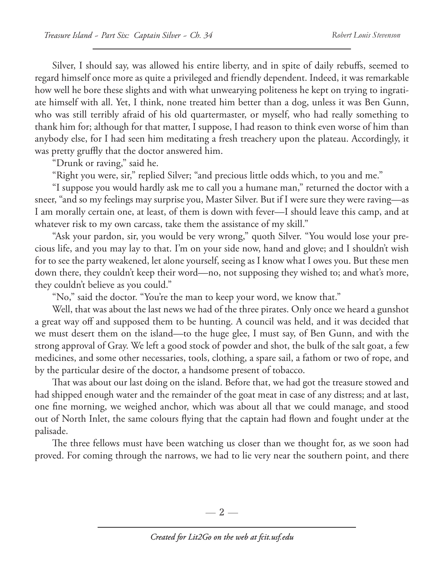Silver, I should say, was allowed his entire liberty, and in spite of daily rebuffs, seemed to regard himself once more as quite a privileged and friendly dependent. Indeed, it was remarkable how well he bore these slights and with what unwearying politeness he kept on trying to ingratiate himself with all. Yet, I think, none treated him better than a dog, unless it was Ben Gunn, who was still terribly afraid of his old quartermaster, or myself, who had really something to thank him for; although for that matter, I suppose, I had reason to think even worse of him than anybody else, for I had seen him meditating a fresh treachery upon the plateau. Accordingly, it was pretty gruffly that the doctor answered him.

"Drunk or raving," said he.

"Right you were, sir," replied Silver; "and precious little odds which, to you and me."

"I suppose you would hardly ask me to call you a humane man," returned the doctor with a sneer, "and so my feelings may surprise you, Master Silver. But if I were sure they were raving—as I am morally certain one, at least, of them is down with fever—I should leave this camp, and at whatever risk to my own carcass, take them the assistance of my skill."

"Ask your pardon, sir, you would be very wrong," quoth Silver. "You would lose your precious life, and you may lay to that. I'm on your side now, hand and glove; and I shouldn't wish for to see the party weakened, let alone yourself, seeing as I know what I owes you. But these men down there, they couldn't keep their word—no, not supposing they wished to; and what's more, they couldn't believe as you could."

"No," said the doctor. "You're the man to keep your word, we know that."

Well, that was about the last news we had of the three pirates. Only once we heard a gunshot a great way off and supposed them to be hunting. A council was held, and it was decided that we must desert them on the island—to the huge glee, I must say, of Ben Gunn, and with the strong approval of Gray. We left a good stock of powder and shot, the bulk of the salt goat, a few medicines, and some other necessaries, tools, clothing, a spare sail, a fathom or two of rope, and by the particular desire of the doctor, a handsome present of tobacco.

That was about our last doing on the island. Before that, we had got the treasure stowed and had shipped enough water and the remainder of the goat meat in case of any distress; and at last, one fine morning, we weighed anchor, which was about all that we could manage, and stood out of North Inlet, the same colours flying that the captain had flown and fought under at the palisade.

The three fellows must have been watching us closer than we thought for, as we soon had proved. For coming through the narrows, we had to lie very near the southern point, and there

— 2 —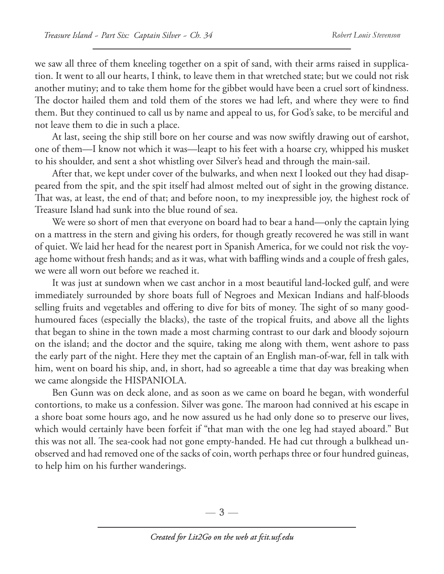we saw all three of them kneeling together on a spit of sand, with their arms raised in supplication. It went to all our hearts, I think, to leave them in that wretched state; but we could not risk another mutiny; and to take them home for the gibbet would have been a cruel sort of kindness. The doctor hailed them and told them of the stores we had left, and where they were to find them. But they continued to call us by name and appeal to us, for God's sake, to be merciful and not leave them to die in such a place.

At last, seeing the ship still bore on her course and was now swiftly drawing out of earshot, one of them—I know not which it was—leapt to his feet with a hoarse cry, whipped his musket to his shoulder, and sent a shot whistling over Silver's head and through the main-sail.

After that, we kept under cover of the bulwarks, and when next I looked out they had disappeared from the spit, and the spit itself had almost melted out of sight in the growing distance. That was, at least, the end of that; and before noon, to my inexpressible joy, the highest rock of Treasure Island had sunk into the blue round of sea.

We were so short of men that everyone on board had to bear a hand—only the captain lying on a mattress in the stern and giving his orders, for though greatly recovered he was still in want of quiet. We laid her head for the nearest port in Spanish America, for we could not risk the voyage home without fresh hands; and as it was, what with baffling winds and a couple of fresh gales, we were all worn out before we reached it.

It was just at sundown when we cast anchor in a most beautiful land-locked gulf, and were immediately surrounded by shore boats full of Negroes and Mexican Indians and half-bloods selling fruits and vegetables and offering to dive for bits of money. The sight of so many goodhumoured faces (especially the blacks), the taste of the tropical fruits, and above all the lights that began to shine in the town made a most charming contrast to our dark and bloody sojourn on the island; and the doctor and the squire, taking me along with them, went ashore to pass the early part of the night. Here they met the captain of an English man-of-war, fell in talk with him, went on board his ship, and, in short, had so agreeable a time that day was breaking when we came alongside the HISPANIOLA.

Ben Gunn was on deck alone, and as soon as we came on board he began, with wonderful contortions, to make us a confession. Silver was gone. The maroon had connived at his escape in a shore boat some hours ago, and he now assured us he had only done so to preserve our lives, which would certainly have been forfeit if "that man with the one leg had stayed aboard." But this was not all. The sea-cook had not gone empty-handed. He had cut through a bulkhead unobserved and had removed one of the sacks of coin, worth perhaps three or four hundred guineas, to help him on his further wanderings.

 $-3-$